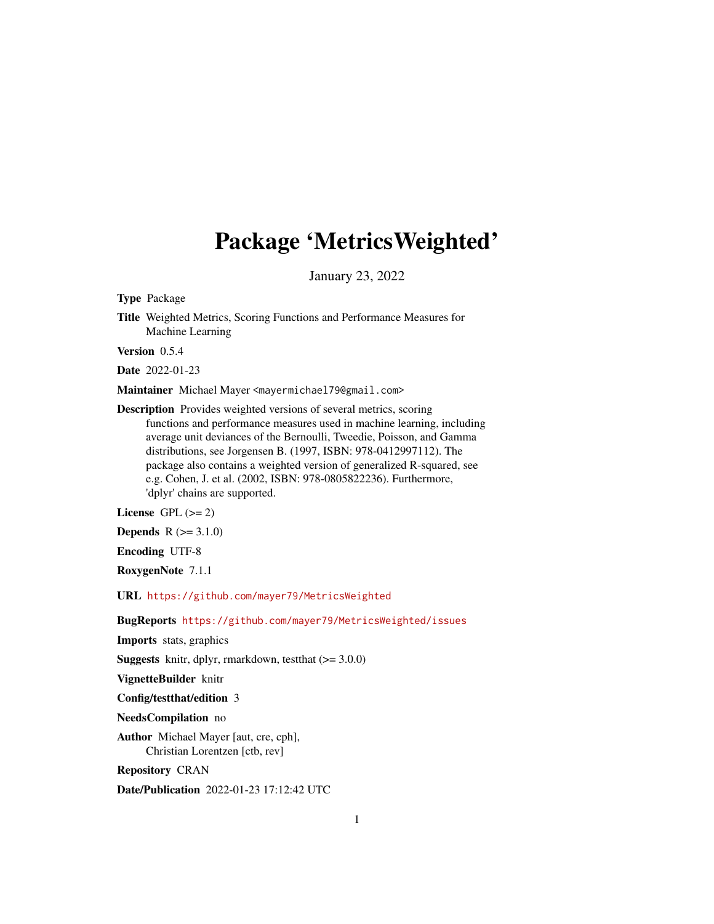# Package 'MetricsWeighted'

January 23, 2022

Type Package

Title Weighted Metrics, Scoring Functions and Performance Measures for Machine Learning

Version 0.5.4

Date 2022-01-23

Maintainer Michael Mayer <mayermichael79@gmail.com>

Description Provides weighted versions of several metrics, scoring functions and performance measures used in machine learning, including average unit deviances of the Bernoulli, Tweedie, Poisson, and Gamma distributions, see Jorgensen B. (1997, ISBN: 978-0412997112). The package also contains a weighted version of generalized R-squared, see e.g. Cohen, J. et al. (2002, ISBN: 978-0805822236). Furthermore, 'dplyr' chains are supported.

License GPL  $(>= 2)$ 

**Depends**  $R (= 3.1.0)$ 

Encoding UTF-8

RoxygenNote 7.1.1

URL <https://github.com/mayer79/MetricsWeighted>

BugReports <https://github.com/mayer79/MetricsWeighted/issues>

Imports stats, graphics

**Suggests** knitr, dplyr, rmarkdown, test that  $(>= 3.0.0)$ 

VignetteBuilder knitr

Config/testthat/edition 3

NeedsCompilation no

Author Michael Mayer [aut, cre, cph], Christian Lorentzen [ctb, rev]

Repository CRAN

Date/Publication 2022-01-23 17:12:42 UTC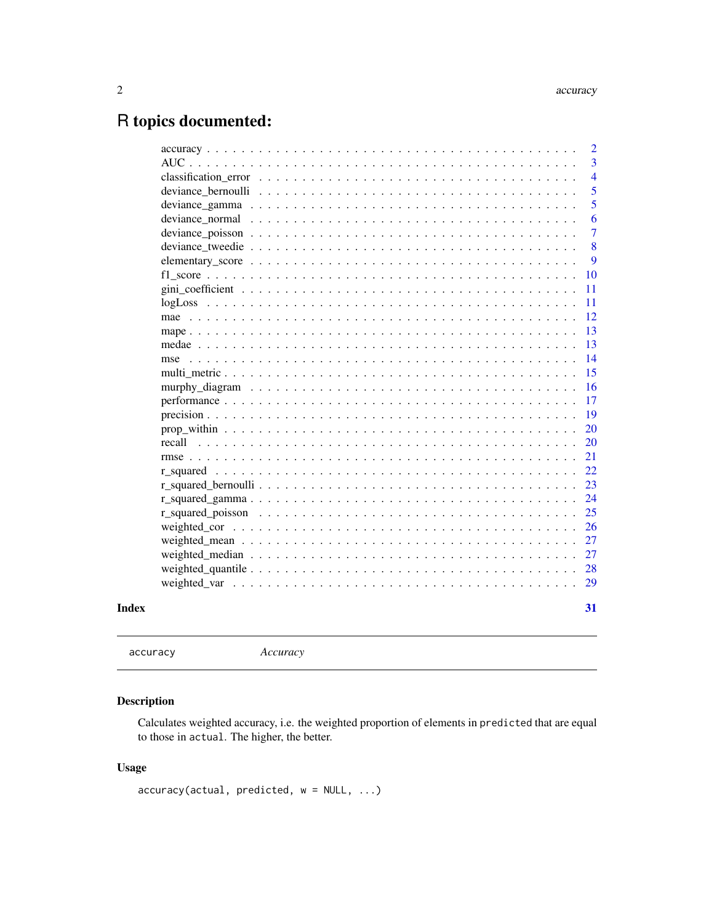# <span id="page-1-0"></span>R topics documented:

```
accuracy Accuracy
```
# Description

Calculates weighted accuracy, i.e. the weighted proportion of elements in predicted that are equal to those in actual. The higher, the better.

# Usage

accuracy(actual, predicted, w = NULL, ...)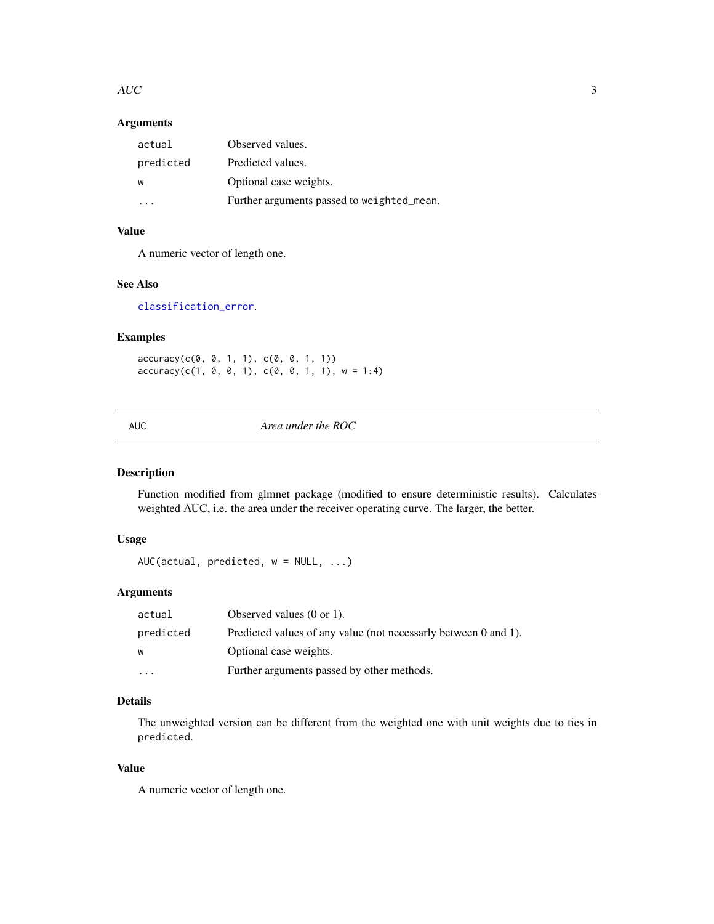#### <span id="page-2-0"></span> $AUC$  3

# Arguments

| actual    | Observed values.                           |
|-----------|--------------------------------------------|
| predicted | Predicted values.                          |
| W         | Optional case weights.                     |
|           | Further arguments passed to weighted_mean. |

# Value

A numeric vector of length one.

# See Also

#### [classification\\_error](#page-3-1).

# Examples

accuracy(c(0, 0, 1, 1), c(0, 0, 1, 1))  $accuracy(c(1, 0, 0, 1), c(0, 0, 1, 1), w = 1:4)$ 

<span id="page-2-1"></span>AUC *Area under the ROC*

# Description

Function modified from glmnet package (modified to ensure deterministic results). Calculates weighted AUC, i.e. the area under the receiver operating curve. The larger, the better.

# Usage

AUC(actual, predicted, w = NULL, ...)

#### Arguments

| actual                  | Observed values $(0 \text{ or } 1)$ .                           |
|-------------------------|-----------------------------------------------------------------|
| predicted               | Predicted values of any value (not necessarly between 0 and 1). |
| W                       | Optional case weights.                                          |
| $\cdot$ $\cdot$ $\cdot$ | Further arguments passed by other methods.                      |

# Details

The unweighted version can be different from the weighted one with unit weights due to ties in predicted.

# Value

A numeric vector of length one.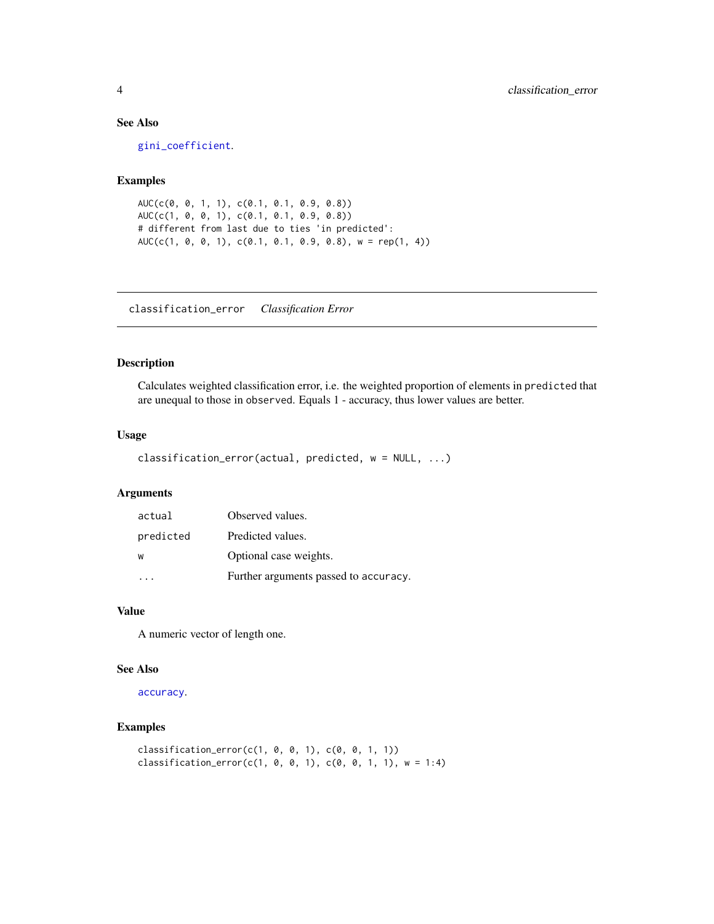# See Also

[gini\\_coefficient](#page-10-1).

# Examples

```
AUC(c(0, 0, 1, 1), c(0.1, 0.1, 0.9, 0.8))
AUC(c(1, 0, 0, 1), c(0.1, 0.1, 0.9, 0.8))
# different from last due to ties 'in predicted':
AUC(c(1, 0, 0, 1), c(0.1, 0.1, 0.9, 0.8), w = rep(1, 4))
```
<span id="page-3-1"></span>classification\_error *Classification Error*

# Description

Calculates weighted classification error, i.e. the weighted proportion of elements in predicted that are unequal to those in observed. Equals 1 - accuracy, thus lower values are better.

#### Usage

```
classification_error(actual, predicted, w = NULL, ...)
```
# Arguments

| actual    | Observed values.                      |
|-----------|---------------------------------------|
| predicted | Predicted values.                     |
| W         | Optional case weights.                |
|           | Further arguments passed to accuracy. |

#### Value

A numeric vector of length one.

#### See Also

[accuracy](#page-1-1).

# Examples

```
classification_error(c(1, 0, 0, 1), c(0, 0, 1, 1))
classification_error(c(1, 0, 0, 1), c(0, 0, 1, 1), w = 1:4)
```
<span id="page-3-0"></span>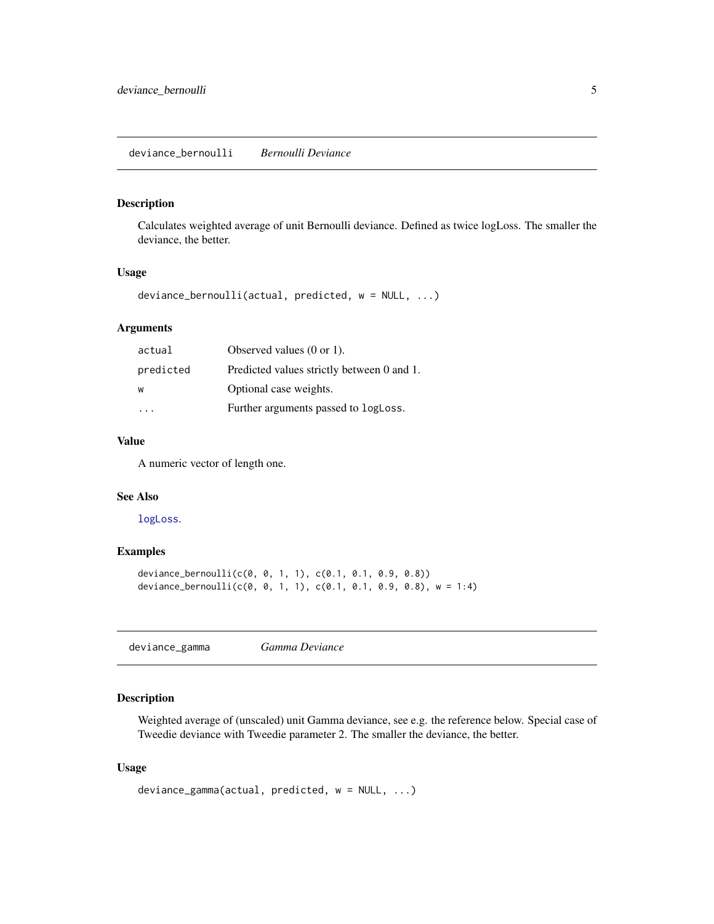#### <span id="page-4-2"></span><span id="page-4-0"></span>Description

Calculates weighted average of unit Bernoulli deviance. Defined as twice logLoss. The smaller the deviance, the better.

#### Usage

```
deviance_bernoulli(actual, predicted, w = NULL, ...)
```
# Arguments

| actual    | Observed values $(0 \text{ or } 1)$ .      |
|-----------|--------------------------------------------|
| predicted | Predicted values strictly between 0 and 1. |
| W         | Optional case weights.                     |
|           | Further arguments passed to logLoss.       |

#### Value

A numeric vector of length one.

# See Also

[logLoss](#page-10-2).

# Examples

```
deviance_bernoulli(c(0, 0, 1, 1), c(0.1, 0.1, 0.9, 0.8))
deviance_bernoulli(c(0, 0, 1, 1), c(0.1, 0.1, 0.9, 0.8), w = 1:4)
```
<span id="page-4-1"></span>deviance\_gamma *Gamma Deviance*

# Description

Weighted average of (unscaled) unit Gamma deviance, see e.g. the reference below. Special case of Tweedie deviance with Tweedie parameter 2. The smaller the deviance, the better.

#### Usage

```
deviance_gamma(actual, predicted, w = NULL, ...)
```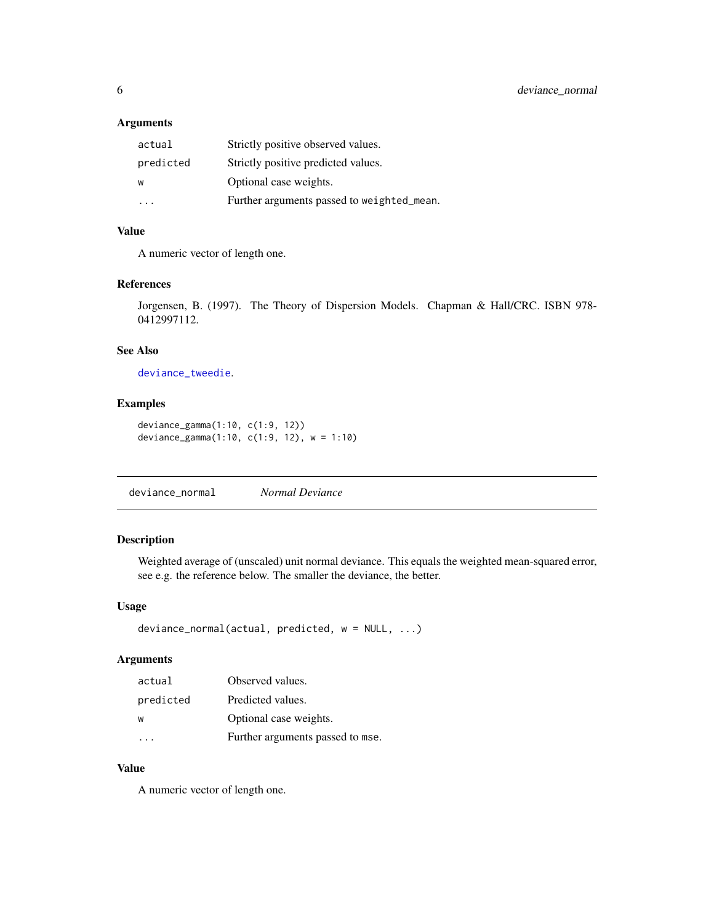# <span id="page-5-0"></span>Arguments

| actual    | Strictly positive observed values.         |
|-----------|--------------------------------------------|
| predicted | Strictly positive predicted values.        |
| w         | Optional case weights.                     |
| .         | Further arguments passed to weighted_mean. |

# Value

A numeric vector of length one.

#### References

Jorgensen, B. (1997). The Theory of Dispersion Models. Chapman & Hall/CRC. ISBN 978- 0412997112.

#### See Also

[deviance\\_tweedie](#page-7-1).

# Examples

```
deviance_gamma(1:10, c(1:9, 12))
deviance_gamma(1:10, c(1:9, 12), w = 1:10)
```
<span id="page-5-1"></span>deviance\_normal *Normal Deviance*

#### Description

Weighted average of (unscaled) unit normal deviance. This equals the weighted mean-squared error, see e.g. the reference below. The smaller the deviance, the better.

#### Usage

```
deviance_normal(actual, predicted, w = NULL, ...)
```
#### Arguments

| actual    | Observed values.                 |
|-----------|----------------------------------|
| predicted | Predicted values.                |
| W         | Optional case weights.           |
|           | Further arguments passed to mse. |

# Value

A numeric vector of length one.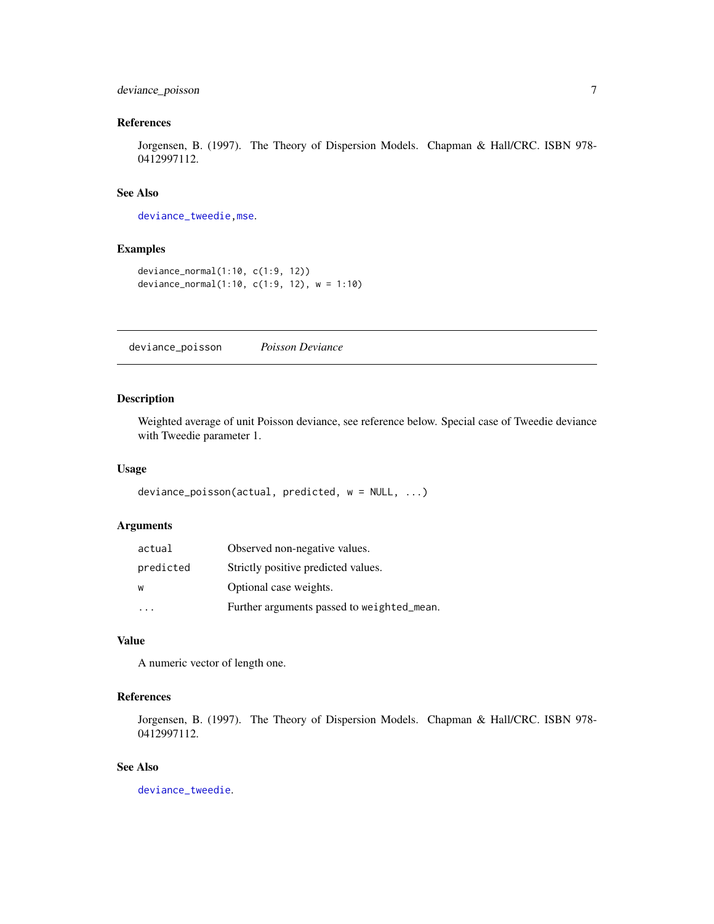# <span id="page-6-0"></span>deviance\_poisson 7

#### References

Jorgensen, B. (1997). The Theory of Dispersion Models. Chapman & Hall/CRC. ISBN 978- 0412997112.

# See Also

[deviance\\_tweedie](#page-7-1)[,mse](#page-13-1).

# Examples

```
deviance_normal(1:10, c(1:9, 12))
deviance_normal(1:10, c(1:9, 12), w = 1:10)
```
<span id="page-6-1"></span>deviance\_poisson *Poisson Deviance*

#### Description

Weighted average of unit Poisson deviance, see reference below. Special case of Tweedie deviance with Tweedie parameter 1.

#### Usage

```
deviance_poisson(actual, predicted, w = NULL, ...)
```
# Arguments

| actual    | Observed non-negative values.              |
|-----------|--------------------------------------------|
| predicted | Strictly positive predicted values.        |
| W         | Optional case weights.                     |
|           | Further arguments passed to weighted_mean. |

#### Value

A numeric vector of length one.

# References

Jorgensen, B. (1997). The Theory of Dispersion Models. Chapman & Hall/CRC. ISBN 978- 0412997112.

#### See Also

[deviance\\_tweedie](#page-7-1).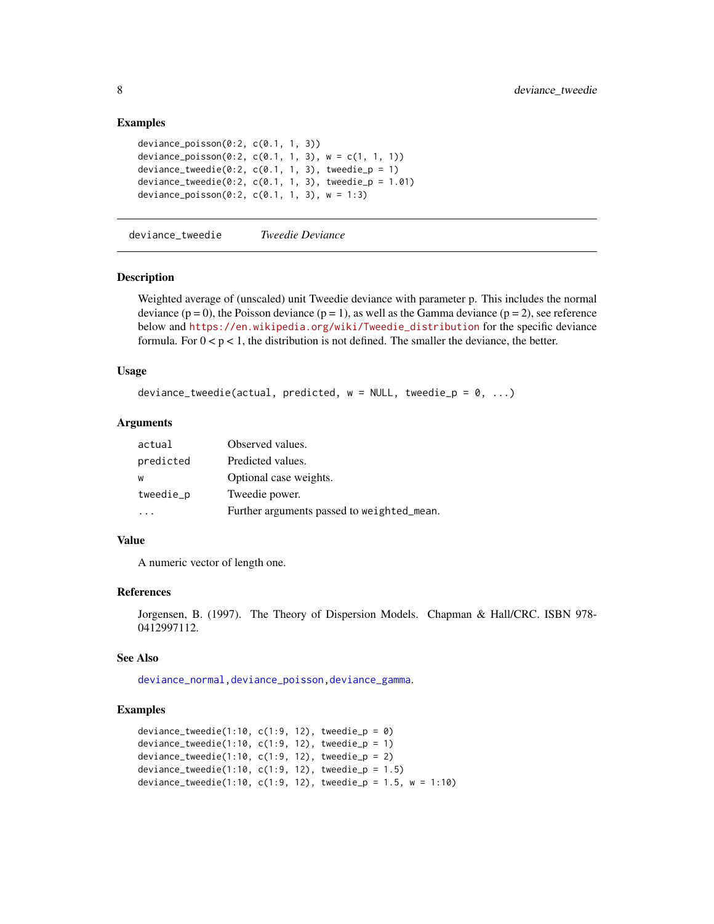#### Examples

```
deviance_poisson(0:2, c(0.1, 1, 3))
deviance_poisson(0:2, c(0.1, 1, 3), w = c(1, 1, 1))
deviance_tweedie(0:2, c(0.1, 1, 3), tweedie_p = 1)
deviance_tweedie(0:2, c(0.1, 1, 3), tweedie_p = 1.01)
deviance_poisson(0:2, c(0.1, 1, 3), w = 1:3)
```
<span id="page-7-1"></span>deviance\_tweedie *Tweedie Deviance*

#### Description

Weighted average of (unscaled) unit Tweedie deviance with parameter p. This includes the normal deviance  $(p = 0)$ , the Poisson deviance  $(p = 1)$ , as well as the Gamma deviance  $(p = 2)$ , see reference below and [https://en.wikipedia.org/wiki/Tweedie\\_distribution](https://en.wikipedia.org/wiki/Tweedie_distribution) for the specific deviance formula. For  $0 < p < 1$ , the distribution is not defined. The smaller the deviance, the better.

#### Usage

```
deviance_tweedie(actual, predicted, w = NULL, tweedie_p = 0, ...)
```
# Arguments

| actual    | Observed values.                           |
|-----------|--------------------------------------------|
| predicted | Predicted values.                          |
| W         | Optional case weights.                     |
| tweedie_p | Tweedie power.                             |
|           | Further arguments passed to weighted_mean. |

#### Value

A numeric vector of length one.

#### References

```
Jorgensen, B. (1997). The Theory of Dispersion Models. Chapman & Hall/CRC. ISBN 978-
0412997112.
```
#### See Also

[deviance\\_normal](#page-5-1)[,deviance\\_poisson,](#page-6-1)[deviance\\_gamma](#page-4-1).

#### Examples

```
deviance_tweedie(1:10, c(1:9, 12), tweedie_p = 0)
deviance_tweedie(1:10, c(1:9, 12), tweedie_p = 1)
deviance_tweedie(1:10, c(1:9, 12), tweedie_p = 2)
deviance_tweedie(1:10, c(1:9, 12), tweedie_p = 1.5)
deviance_tweedie(1:10, c(1:9, 12), tweedie_p = 1.5, w = 1:10)
```
<span id="page-7-0"></span>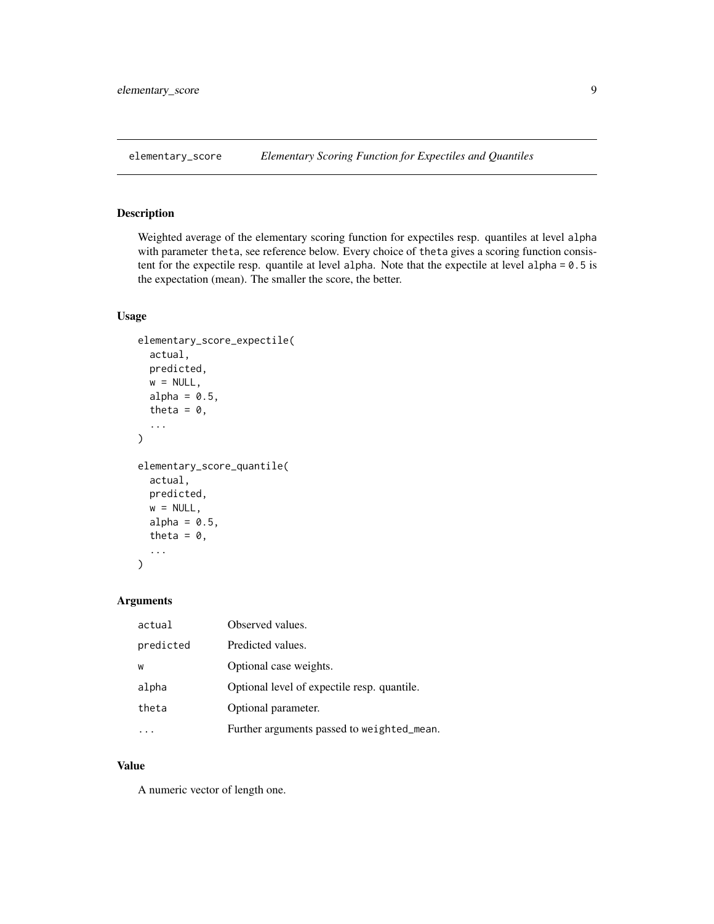<span id="page-8-1"></span><span id="page-8-0"></span>elementary\_score *Elementary Scoring Function for Expectiles and Quantiles*

# Description

Weighted average of the elementary scoring function for expectiles resp. quantiles at level alpha with parameter theta, see reference below. Every choice of theta gives a scoring function consistent for the expectile resp. quantile at level alpha. Note that the expectile at level alpha = 0.5 is the expectation (mean). The smaller the score, the better.

#### Usage

```
elementary_score_expectile(
  actual,
  predicted,
  w = NULL,alpha = 0.5,
  theta = \theta,
  ...
\mathcal{E}elementary_score_quantile(
  actual,
  predicted,
  w = NULL,alpha = 0.5,
  theta = \theta,
  ...
)
```
#### Arguments

| actual    | Observed values.                            |
|-----------|---------------------------------------------|
| predicted | Predicted values.                           |
| W         | Optional case weights.                      |
| alpha     | Optional level of expectile resp. quantile. |
| theta     | Optional parameter.                         |
|           | Further arguments passed to weighted_mean.  |

#### Value

A numeric vector of length one.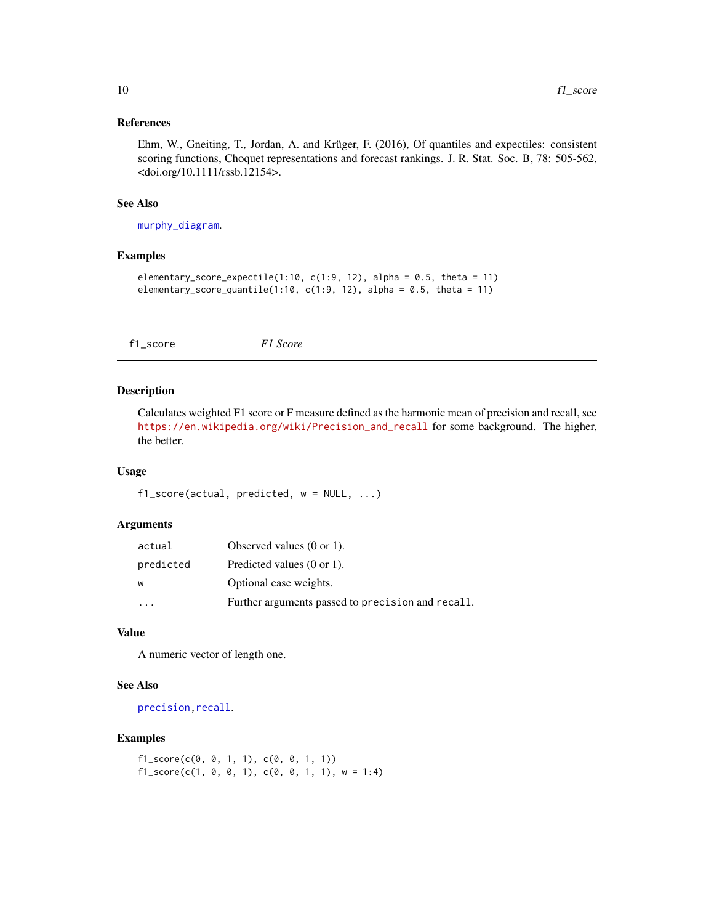#### <span id="page-9-0"></span>References

Ehm, W., Gneiting, T., Jordan, A. and Krüger, F. (2016), Of quantiles and expectiles: consistent scoring functions, Choquet representations and forecast rankings. J. R. Stat. Soc. B, 78: 505-562, <doi.org/10.1111/rssb.12154>.

#### See Also

[murphy\\_diagram](#page-15-1).

# Examples

```
elementary_score_expectile(1:10, c(1:9, 12), alpha = 0.5, theta = 11)
elementary_score_quantile(1:10, c(1:9, 12), alpha = 0.5, theta = 11)
```
<span id="page-9-1"></span>f1\_score *F1 Score*

#### Description

Calculates weighted F1 score or F measure defined as the harmonic mean of precision and recall, see [https://en.wikipedia.org/wiki/Precision\\_and\\_recall](https://en.wikipedia.org/wiki/Precision_and_recall) for some background. The higher, the better.

#### Usage

```
f1_score(actual, predicted, w = NULL, ...)
```
#### Arguments

| actual    | Observed values $(0 \text{ or } 1)$ .             |
|-----------|---------------------------------------------------|
| predicted | Predicted values $(0 \text{ or } 1)$ .            |
| W         | Optional case weights.                            |
|           | Further arguments passed to precision and recall. |

#### Value

A numeric vector of length one.

# See Also

[precision](#page-18-1), recall.

# Examples

 $f1\_score(c(0, 0, 1, 1), c(0, 0, 1, 1))$  $f1\_score(c(1, 0, 0, 1), c(0, 0, 1, 1), w = 1:4)$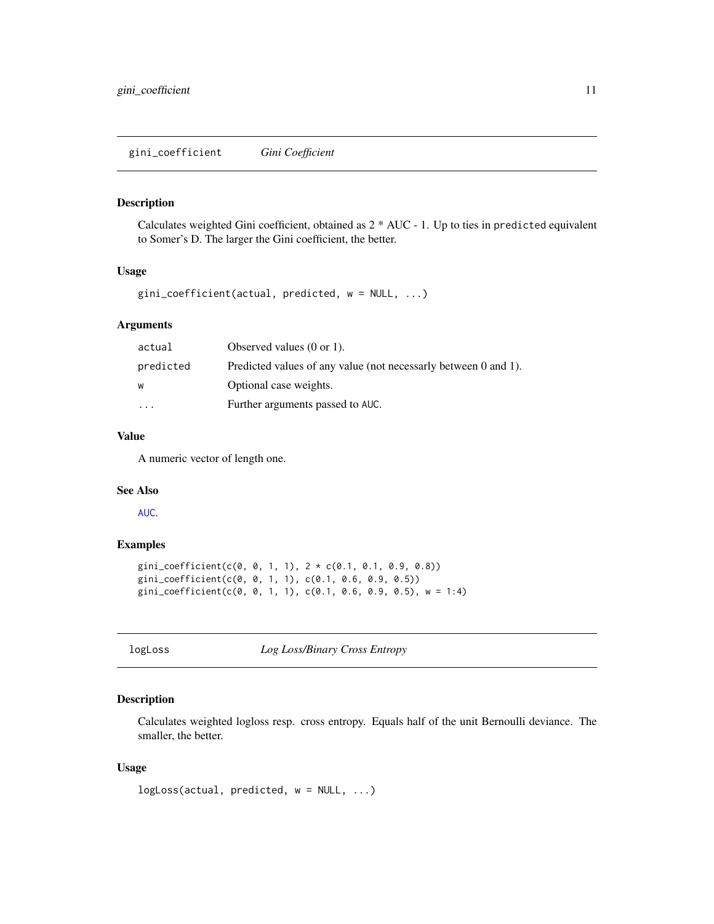#### <span id="page-10-1"></span><span id="page-10-0"></span>Description

Calculates weighted Gini coefficient, obtained as 2 \* AUC - 1. Up to ties in predicted equivalent to Somer's D. The larger the Gini coefficient, the better.

#### Usage

 $gini\_coefficient(actual, predicted, w = NULL, ...)$ 

#### Arguments

| actual    | Observed values $(0 \text{ or } 1)$ .                           |
|-----------|-----------------------------------------------------------------|
| predicted | Predicted values of any value (not necessarly between 0 and 1). |
| W         | Optional case weights.                                          |
| $\cdots$  | Further arguments passed to AUC.                                |

# Value

A numeric vector of length one.

# See Also

[AUC](#page-2-1).

# Examples

```
gini_coefficient(c(0, 0, 1, 1), 2 * c(0.1, 0.1, 0.9, 0.8))
gini_coefficient(c(0, 0, 1, 1), c(0.1, 0.6, 0.9, 0.5))
gini_coefficient(c(0, 0, 1, 1), c(0.1, 0.6, 0.9, 0.5), w = 1:4)
```
<span id="page-10-2"></span>

logLoss *Log Loss/Binary Cross Entropy*

#### Description

Calculates weighted logloss resp. cross entropy. Equals half of the unit Bernoulli deviance. The smaller, the better.

#### Usage

```
logLoss(actual, predicted, w = NULL, ...)
```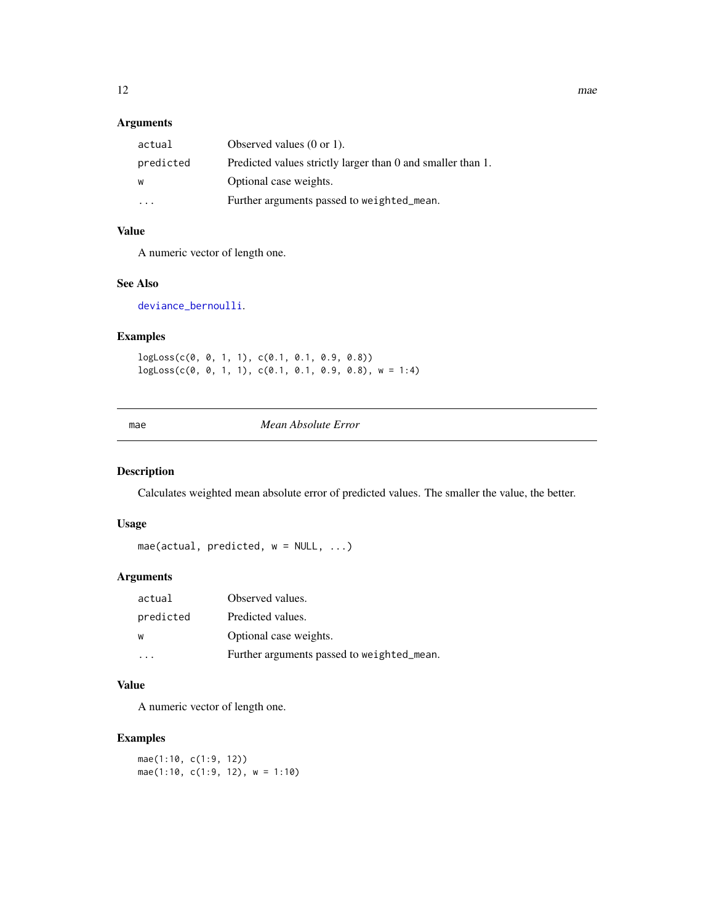#### <span id="page-11-0"></span>Arguments

| actual    | Observed values $(0 \text{ or } 1)$ .                       |
|-----------|-------------------------------------------------------------|
| predicted | Predicted values strictly larger than 0 and smaller than 1. |
| W         | Optional case weights.                                      |
| .         | Further arguments passed to weighted_mean.                  |

# Value

A numeric vector of length one.

# See Also

#### [deviance\\_bernoulli](#page-4-2).

# Examples

logLoss(c(0, 0, 1, 1), c(0.1, 0.1, 0.9, 0.8))  $logLoss(c(0, 0, 1, 1), c(0.1, 0.1, 0.9, 0.8), w = 1:4)$ 

#### mae *Mean Absolute Error*

# Description

Calculates weighted mean absolute error of predicted values. The smaller the value, the better.

#### Usage

mae(actual, predicted, w = NULL, ...)

# Arguments

| actual    | Observed values.                           |
|-----------|--------------------------------------------|
| predicted | Predicted values.                          |
| W         | Optional case weights.                     |
| .         | Further arguments passed to weighted_mean. |

# Value

A numeric vector of length one.

# Examples

mae(1:10, c(1:9, 12)) mae(1:10, c(1:9, 12), w = 1:10)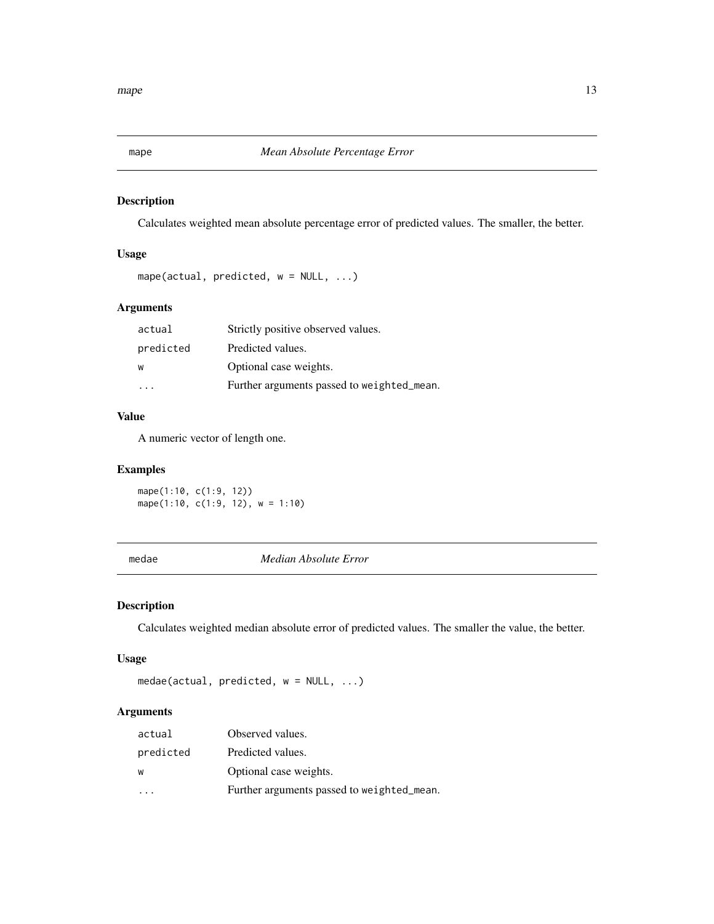<span id="page-12-0"></span>

# Description

Calculates weighted mean absolute percentage error of predicted values. The smaller, the better.

# Usage

```
mape(actual, predicted, w = NULL, ...)
```
# Arguments

| actual    | Strictly positive observed values.         |
|-----------|--------------------------------------------|
| predicted | Predicted values.                          |
| W         | Optional case weights.                     |
|           | Further arguments passed to weighted_mean. |

#### Value

A numeric vector of length one.

#### Examples

mape(1:10, c(1:9, 12)) mape(1:10,  $c(1:9, 12)$ ,  $w = 1:10$ )

medae *Median Absolute Error*

# Description

Calculates weighted median absolute error of predicted values. The smaller the value, the better.

#### Usage

```
medae(actual, predicted, w = NULL, ...)
```
# Arguments

| actual    | Observed values.                           |
|-----------|--------------------------------------------|
| predicted | Predicted values.                          |
| W         | Optional case weights.                     |
|           | Further arguments passed to weighted_mean. |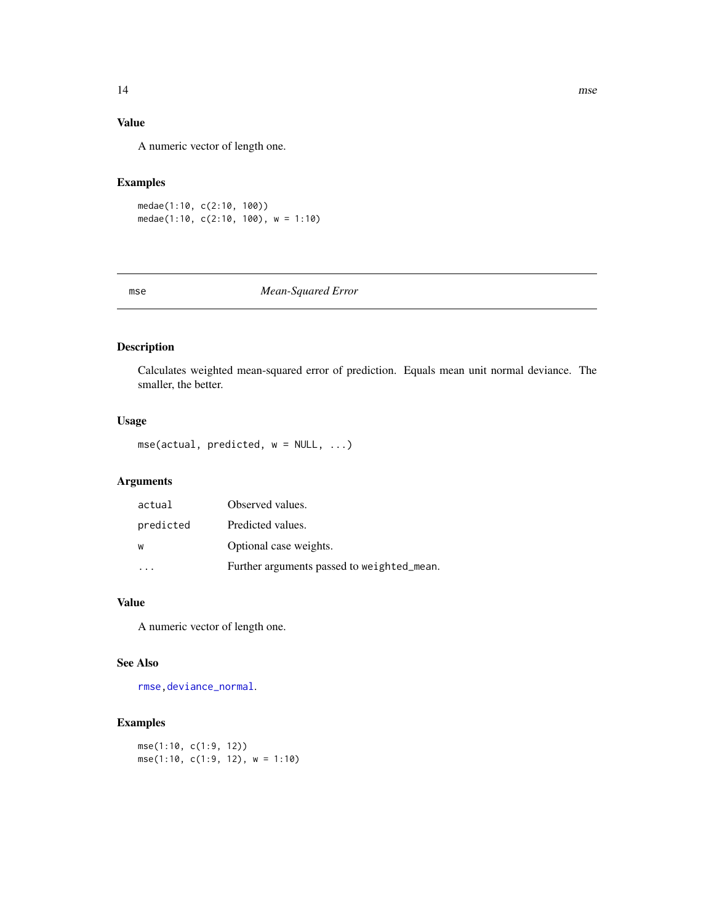# <span id="page-13-0"></span>Value

A numeric vector of length one.

# Examples

medae(1:10, c(2:10, 100)) medae(1:10, c(2:10, 100), w = 1:10)

<span id="page-13-1"></span>mse *Mean-Squared Error*

# Description

Calculates weighted mean-squared error of prediction. Equals mean unit normal deviance. The smaller, the better.

# Usage

mse(actual, predicted, w = NULL, ...)

# Arguments

| actual    | Observed values.                           |
|-----------|--------------------------------------------|
| predicted | Predicted values.                          |
| W         | Optional case weights.                     |
|           | Further arguments passed to weighted_mean. |

#### Value

A numeric vector of length one.

#### See Also

[rmse](#page-20-1)[,deviance\\_normal](#page-5-1).

# Examples

mse(1:10, c(1:9, 12)) mse(1:10, c(1:9, 12), w = 1:10)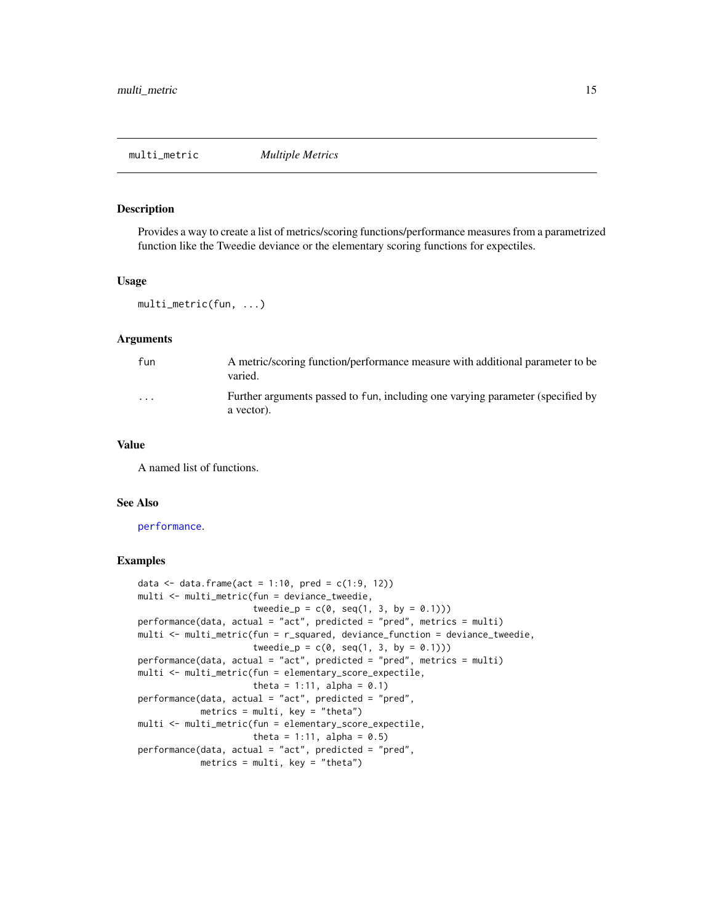<span id="page-14-0"></span>

#### Description

Provides a way to create a list of metrics/scoring functions/performance measures from a parametrized function like the Tweedie deviance or the elementary scoring functions for expectiles.

#### Usage

```
multi_metric(fun, ...)
```
#### Arguments

| fun      | A metric/scoring function/performance measure with additional parameter to be<br>varied.     |
|----------|----------------------------------------------------------------------------------------------|
| $\cdots$ | Further arguments passed to fun, including one varying parameter (specified by<br>a vector). |

#### Value

A named list of functions.

#### See Also

[performance](#page-16-1).

#### Examples

```
data <- data.frame(act = 1:10, pred = c(1:9, 12))
multi <- multi_metric(fun = deviance_tweedie,
                      tweedie_p = c(0, seq(1, 3, by = 0.1)))performance(data, actual = "act", predicted = "pred", metrics = multi)
multi <- multi_metric(fun = r_squared, deviance_function = deviance_tweedie,
                      tweedie_p = c(0, seq(1, 3, by = 0.1)))performance(data, actual = "act", predicted = "pred", metrics = multi)
multi <- multi_metric(fun = elementary_score_expectile,
                      theta = 1:11, alpha = 0.1)
performance(data, actual = "act", predicted = "pred",
            metrics = multi, key = "theta")
multi <- multi_metric(fun = elementary_score_expectile,
                      theta = 1:11, alpha = 0.5)
performance(data, actual = "act", predicted = "pred",
           metrics = multi, key = "theta")
```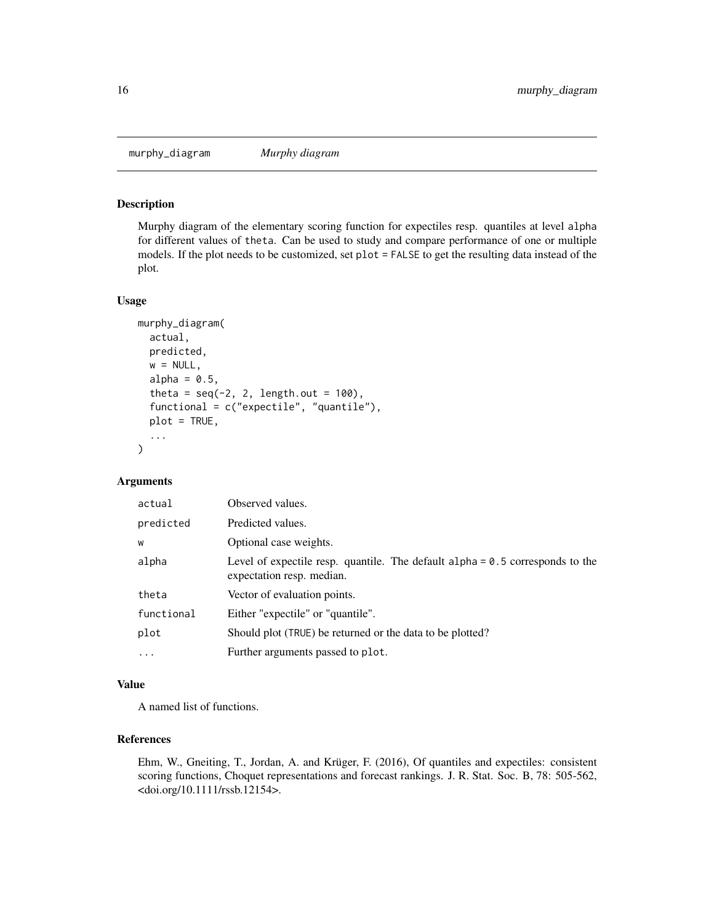<span id="page-15-1"></span><span id="page-15-0"></span>murphy\_diagram *Murphy diagram*

# Description

Murphy diagram of the elementary scoring function for expectiles resp. quantiles at level alpha for different values of theta. Can be used to study and compare performance of one or multiple models. If the plot needs to be customized, set plot = FALSE to get the resulting data instead of the plot.

#### Usage

```
murphy_diagram(
  actual,
 predicted,
 w = NULL,alpha = 0.5,
  theta = seq(-2, 2, length.out = 100),
  functional = c("expectile", "quantile"),
  plot = TRUE,
  ...
\mathcal{E}
```
# Arguments

| actual     | Observed values.                                                                                             |
|------------|--------------------------------------------------------------------------------------------------------------|
| predicted  | Predicted values.                                                                                            |
| W          | Optional case weights.                                                                                       |
| alpha      | Level of expectile resp. quantile. The default $alpha = 0.5$ corresponds to the<br>expectation resp. median. |
| theta      | Vector of evaluation points.                                                                                 |
| functional | Either "expectile" or "quantile".                                                                            |
| plot       | Should plot (TRUE) be returned or the data to be plotted?                                                    |
| $\ddots$ . | Further arguments passed to plot.                                                                            |

#### Value

A named list of functions.

# References

Ehm, W., Gneiting, T., Jordan, A. and Krüger, F. (2016), Of quantiles and expectiles: consistent scoring functions, Choquet representations and forecast rankings. J. R. Stat. Soc. B, 78: 505-562, <doi.org/10.1111/rssb.12154>.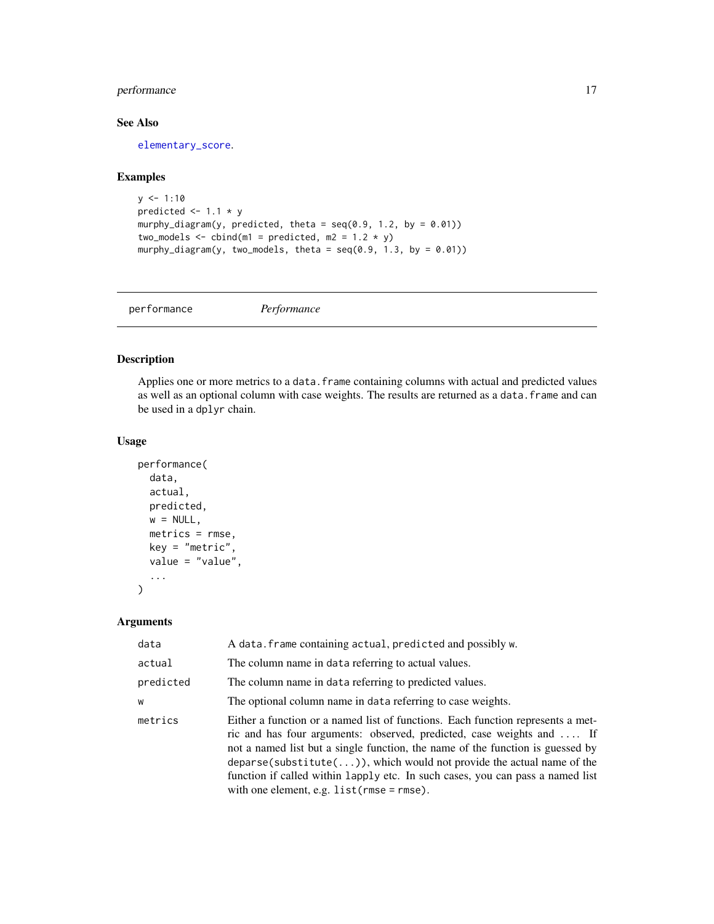# <span id="page-16-0"></span>performance 17

# See Also

[elementary\\_score](#page-8-1).

#### Examples

```
y \le -1:10predicted <-1.1 * y
murphy_diagram(y, predicted, theta = seq(0.9, 1.2, by = 0.01))
two_models \le - cbind(m1 = predicted, m2 = 1.2 * y)
murphy_diagram(y, two_models, theta = seq(0.9, 1.3, by = 0.01))
```

```
performance Performance
```
# Description

Applies one or more metrics to a data. frame containing columns with actual and predicted values as well as an optional column with case weights. The results are returned as a data. frame and can be used in a dplyr chain.

#### Usage

```
performance(
  data,
  actual,
  predicted,
  w = NULL,metrics = rmse,
  key = "metric",
  value = "value",
  ...
\mathcal{E}
```
# Arguments

| data      | A data. frame containing actual, predicted and possibly w.                                                                                                                                                                                                                                                                                                                                                                                               |  |
|-----------|----------------------------------------------------------------------------------------------------------------------------------------------------------------------------------------------------------------------------------------------------------------------------------------------------------------------------------------------------------------------------------------------------------------------------------------------------------|--|
| actual    | The column name in data referring to actual values.                                                                                                                                                                                                                                                                                                                                                                                                      |  |
| predicted | The column name in data referring to predicted values.                                                                                                                                                                                                                                                                                                                                                                                                   |  |
| W         | The optional column name in data referring to case weights.                                                                                                                                                                                                                                                                                                                                                                                              |  |
| metrics   | Either a function or a named list of functions. Each function represents a met-<br>ric and has four arguments: observed, predicted, case weights and  If<br>not a named list but a single function, the name of the function is guessed by<br>$deparse(substitute())$ , which would not provide the actual name of the<br>function if called within lapply etc. In such cases, you can pass a named list<br>with one element, e.g. $list(rmse = rmse)$ . |  |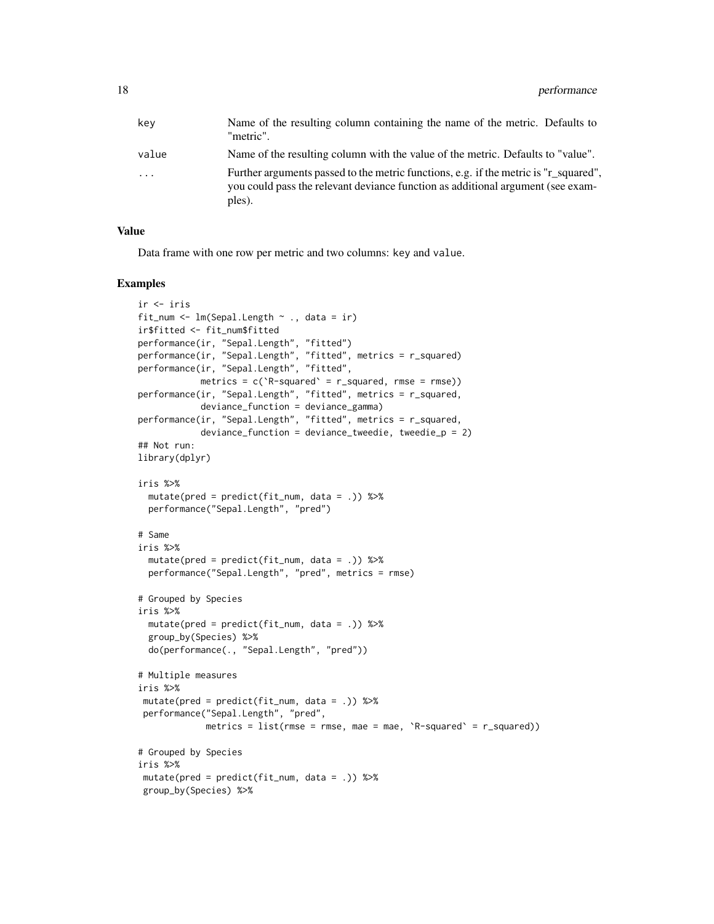| key   | Name of the resulting column containing the name of the metric. Defaults to<br>"metric".                                                                                          |
|-------|-----------------------------------------------------------------------------------------------------------------------------------------------------------------------------------|
| value | Name of the resulting column with the value of the metric. Defaults to "value".                                                                                                   |
| .     | Further arguments passed to the metric functions, e.g. if the metric is "r_squared",<br>you could pass the relevant deviance function as additional argument (see exam-<br>ples). |

#### Value

Data frame with one row per metric and two columns: key and value.

#### Examples

```
ir <- iris
fit_num <- lm(Sepal.length \sim ., data = ir)ir$fitted <- fit_num$fitted
performance(ir, "Sepal.Length", "fitted")
performance(ir, "Sepal.Length", "fitted", metrics = r_squared)
performance(ir, "Sepal.Length", "fitted",
            metrics = c('R-squared' = r_squared, rms = rms)performance(ir, "Sepal.Length", "fitted", metrics = r_squared,
           deviance_function = deviance_gamma)
performance(ir, "Sepal.Length", "fitted", metrics = r_squared,
           deviance_function = deviance_tweedie, tweedie_p = 2)
## Not run:
library(dplyr)
iris %>%
  mutate(pred = predict(fit_num, data = .)) %>%
  performance("Sepal.Length", "pred")
# Same
iris %>%
  mutate(pred = predict(fit_num, data = .)) %>%
  performance("Sepal.Length", "pred", metrics = rmse)
# Grouped by Species
iris %>%
  mutate(pred = predict(fit_num, data = .)) %>%
  group_by(Species) %>%
  do(performance(., "Sepal.Length", "pred"))
# Multiple measures
iris %>%
 mutate(pred = predict(fit_num, data = .)) %>%
 performance("Sepal.Length", "pred",
            metrics = list(rmse = rmse, mae = mae, 'R-squared' = r_squared)# Grouped by Species
iris %>%
mutate(pred = predict(fit_num, data = .)) %>%
 group_by(Species) %>%
```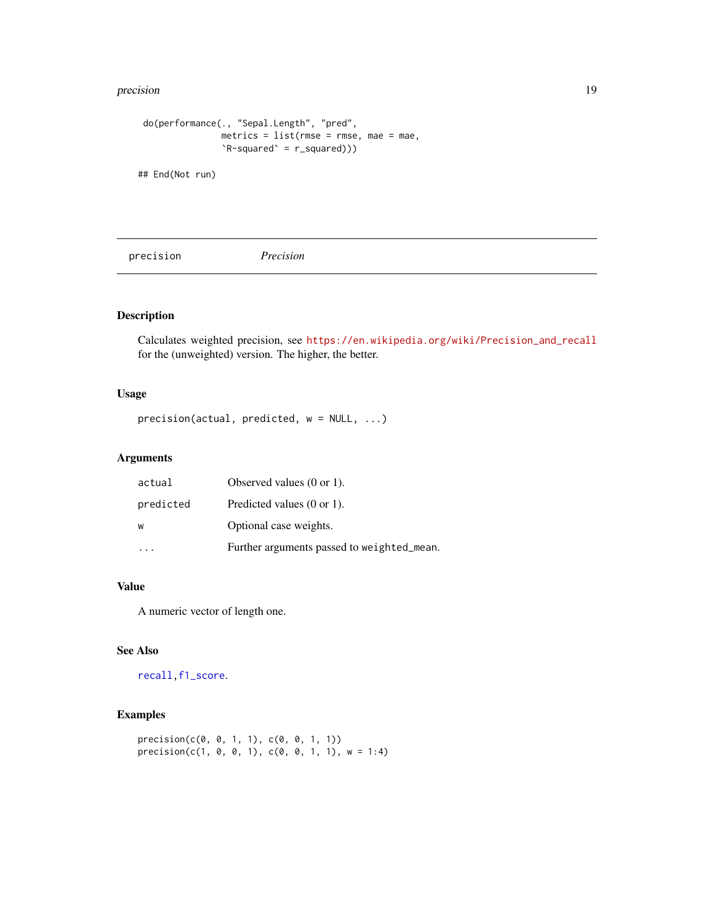#### <span id="page-18-0"></span>precision and the contract of the contract of the contract of the contract of the contract of the contract of the contract of the contract of the contract of the contract of the contract of the contract of the contract of

```
do(performance(., "Sepal.Length", "pred",
               metrics = list(rmse = rmse, mae = mae,
               `R-squared` = r_squared)))
```
## End(Not run)

<span id="page-18-1"></span>precision *Precision*

# Description

Calculates weighted precision, see [https://en.wikipedia.org/wiki/Precision\\_and\\_recall](https://en.wikipedia.org/wiki/Precision_and_recall) for the (unweighted) version. The higher, the better.

# Usage

precision(actual, predicted, w = NULL, ...)

#### Arguments

| actual    | Observed values $(0 \text{ or } 1)$ .      |
|-----------|--------------------------------------------|
| predicted | Predicted values $(0 \text{ or } 1)$ .     |
| W         | Optional case weights.                     |
|           | Further arguments passed to weighted_mean. |

#### Value

A numeric vector of length one.

# See Also

[recall](#page-19-1)[,f1\\_score](#page-9-1).

# Examples

```
precision(c(0, 0, 1, 1), c(0, 0, 1, 1))precision(c(1, 0, 0, 1), c(0, 0, 1, 1), w = 1:4)
```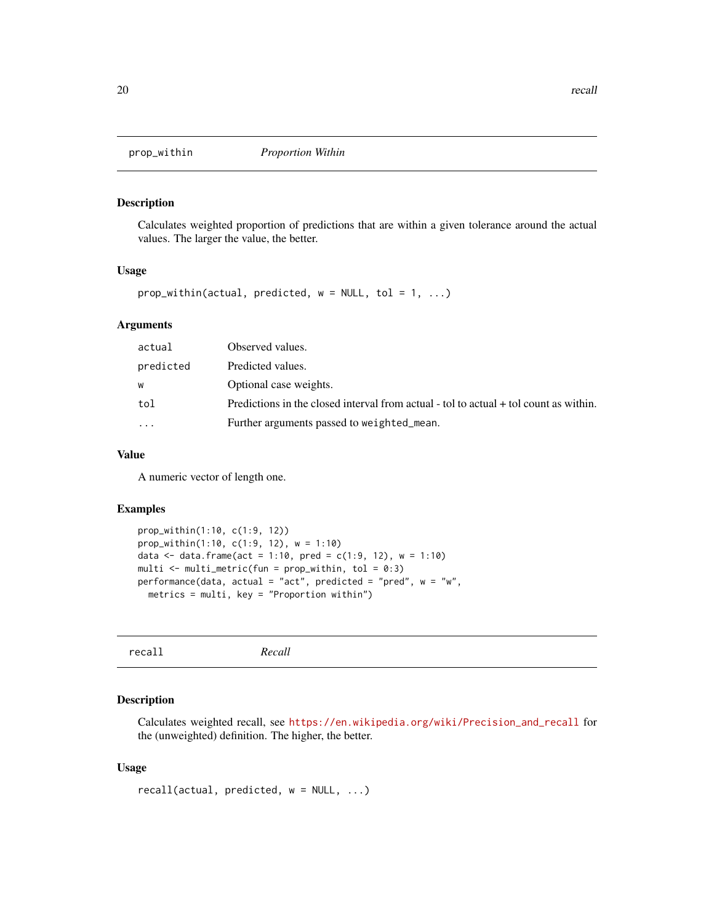<span id="page-19-0"></span>

#### Description

Calculates weighted proportion of predictions that are within a given tolerance around the actual values. The larger the value, the better.

#### Usage

 $prop\_within(\text{actual}, \text{predicted}, \text{w} = NULL, \text{tol} = 1, ...)$ 

#### Arguments

| actual    | Observed values.                                                                      |
|-----------|---------------------------------------------------------------------------------------|
| predicted | Predicted values.                                                                     |
| w         | Optional case weights.                                                                |
| tol       | Predictions in the closed interval from actual - tol to actual + tol count as within. |
| .         | Further arguments passed to weighted_mean.                                            |
|           |                                                                                       |

#### Value

A numeric vector of length one.

#### Examples

```
prop_within(1:10, c(1:9, 12))
prop_within(1:10, c(1:9, 12), w = 1:10)
data <- data.frame(act = 1:10, pred = c(1:9, 12), w = 1:10)
multi \leq multi_metric(fun = prop_within, tol = 0:3)
performance(data, actual = "act", predicted = "pred", w = "w",metrics = multi, key = "Proportion within")
```

```
recall Recall
```
# Description

Calculates weighted recall, see [https://en.wikipedia.org/wiki/Precision\\_and\\_recall](https://en.wikipedia.org/wiki/Precision_and_recall) for the (unweighted) definition. The higher, the better.

#### Usage

recall(actual, predicted, w = NULL, ...)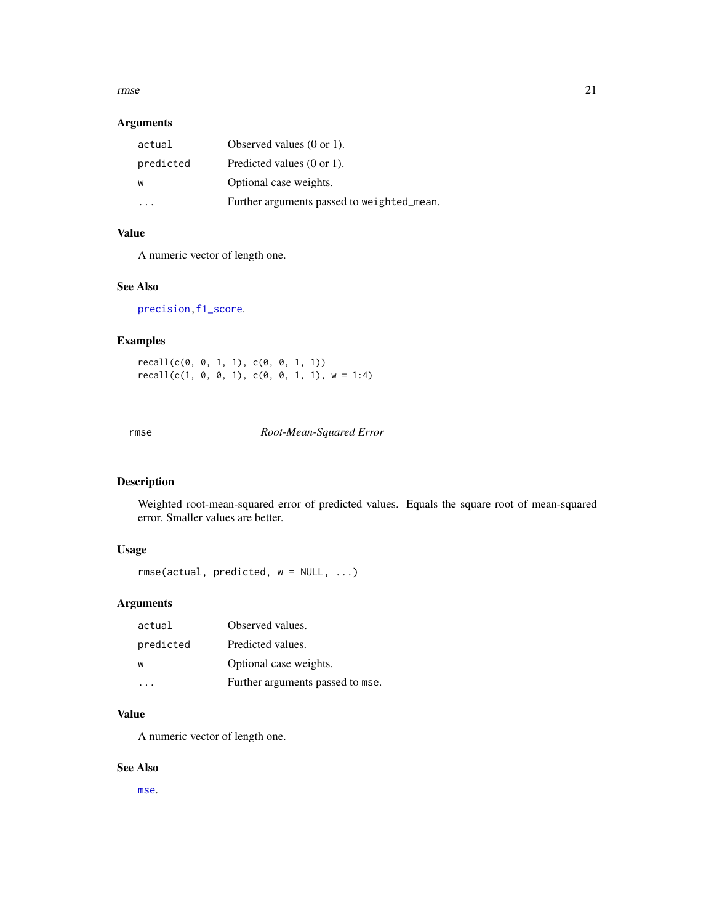#### <span id="page-20-0"></span>rmse 21

# Arguments

| actual    | Observed values $(0 \text{ or } 1)$ .      |
|-----------|--------------------------------------------|
| predicted | Predicted values $(0 \text{ or } 1)$ .     |
| w         | Optional case weights.                     |
|           | Further arguments passed to weighted_mean. |

# Value

A numeric vector of length one.

#### See Also

[precision](#page-18-1)[,f1\\_score](#page-9-1).

# Examples

recall(c(0, 0, 1, 1), c(0, 0, 1, 1))  $recall(c(1, 0, 0, 1), c(0, 0, 1, 1), w = 1:4)$ 

# <span id="page-20-1"></span>rmse *Root-Mean-Squared Error*

# Description

Weighted root-mean-squared error of predicted values. Equals the square root of mean-squared error. Smaller values are better.

# Usage

rmse(actual, predicted, w = NULL, ...)

# Arguments

| actual    | Observed values.                 |
|-----------|----------------------------------|
| predicted | Predicted values.                |
| W         | Optional case weights.           |
|           | Further arguments passed to mse. |

# Value

A numeric vector of length one.

#### See Also

[mse](#page-13-1).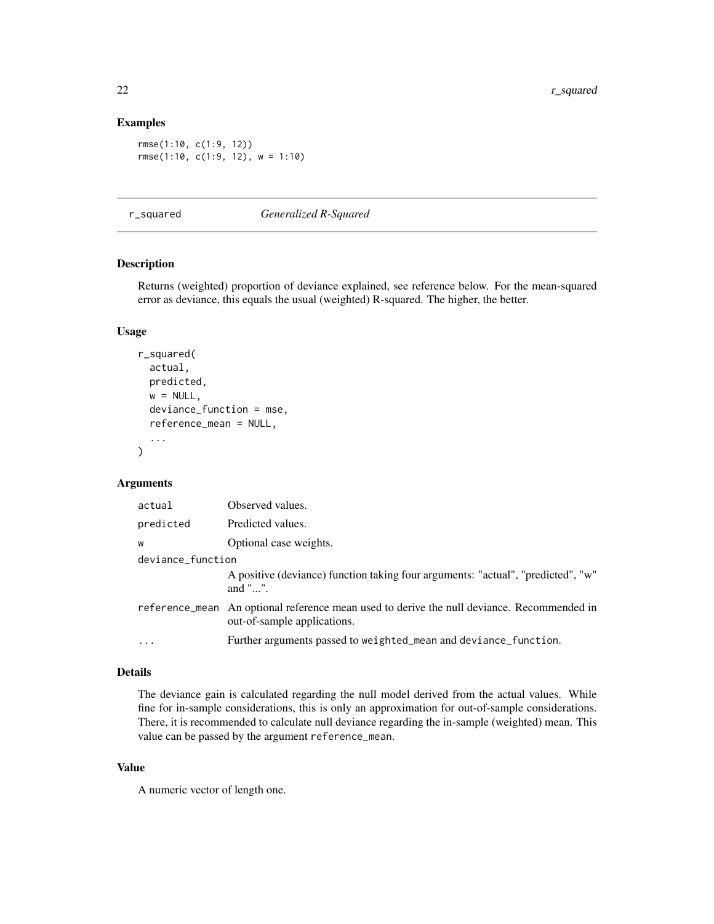# Examples

```
rmse(1:10, c(1:9, 12))
rmse(1:10, c(1:9, 12), w = 1:10)
```
<span id="page-21-1"></span>r\_squared *Generalized R-Squared*

#### Description

Returns (weighted) proportion of deviance explained, see reference below. For the mean-squared error as deviance, this equals the usual (weighted) R-squared. The higher, the better.

# Usage

```
r_squared(
  actual,
 predicted,
 w = NULL,deviance_function = mse,
  reference_mean = NULL,
  ...
)
```
# Arguments

| actual            | Observed values.                                                                                                          |
|-------------------|---------------------------------------------------------------------------------------------------------------------------|
| predicted         | Predicted values.                                                                                                         |
| W                 | Optional case weights.                                                                                                    |
| deviance_function |                                                                                                                           |
|                   | A positive (deviance) function taking four arguments: "actual", "predicted", "w"<br>and " $\ldots$ ".                     |
|                   | reference_mean An optional reference mean used to derive the null deviance. Recommended in<br>out-of-sample applications. |
| $\cdots$          | Further arguments passed to weighted_mean and deviance_function.                                                          |

#### Details

The deviance gain is calculated regarding the null model derived from the actual values. While fine for in-sample considerations, this is only an approximation for out-of-sample considerations. There, it is recommended to calculate null deviance regarding the in-sample (weighted) mean. This value can be passed by the argument reference\_mean.

# Value

A numeric vector of length one.

<span id="page-21-0"></span>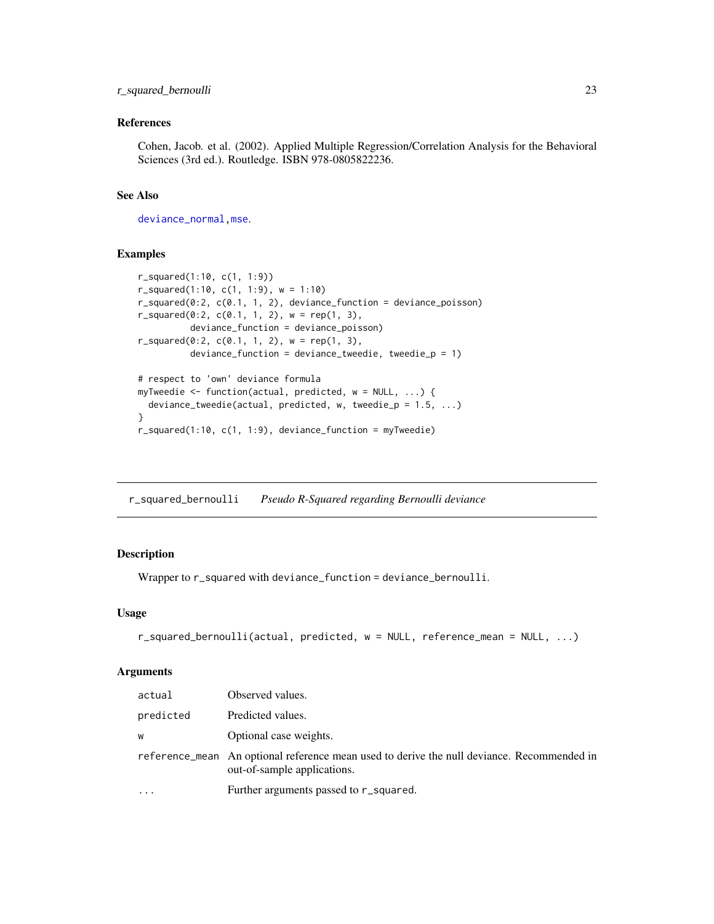# <span id="page-22-0"></span>r\_squared\_bernoulli 23

# References

Cohen, Jacob. et al. (2002). Applied Multiple Regression/Correlation Analysis for the Behavioral Sciences (3rd ed.). Routledge. ISBN 978-0805822236.

#### See Also

[deviance\\_normal](#page-5-1)[,mse](#page-13-1).

#### Examples

```
r_squared(1:10, c(1, 1:9))
r_squared(1:10, c(1, 1:9), w = 1:10)
r_squared(0:2, c(0.1, 1, 2), deviance_function = deviance_poisson)
r_squared(0:2, c(0.1, 1, 2), w = rep(1, 3),
         deviance_function = deviance_poisson)
r_squared(0:2, c(0.1, 1, 2), w = rep(1, 3),
         deviance_function = deviance_tweedie, tweedie_p = 1)# respect to 'own' deviance formula
myTweedie <- function(actual, predicted, w = NULL, ...) {
 deviance_tweedie(actual, predicted, w, tweedie_p = 1.5, ...)
}
r_squared(1:10, c(1, 1:9), deviance_function = myTweedie)
```
r\_squared\_bernoulli *Pseudo R-Squared regarding Bernoulli deviance*

#### Description

Wrapper to r\_squared with deviance\_function = deviance\_bernoulli.

#### Usage

```
r_squared_bernoulli(actual, predicted, w = NULL, reference_mean = NULL, ...)
```
#### Arguments

| actual    | Observed values.                                                                                                          |
|-----------|---------------------------------------------------------------------------------------------------------------------------|
| predicted | Predicted values.                                                                                                         |
| W         | Optional case weights.                                                                                                    |
|           | reference mean An optional reference mean used to derive the null deviance. Recommended in<br>out-of-sample applications. |
| $\ddotsc$ | Further arguments passed to r_squared.                                                                                    |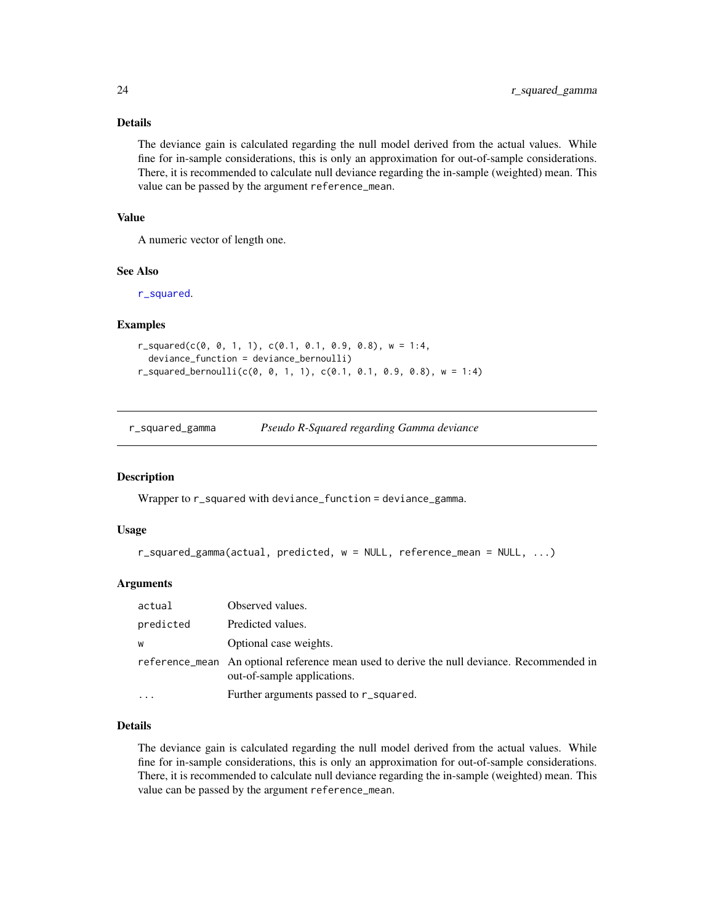# <span id="page-23-0"></span>Details

The deviance gain is calculated regarding the null model derived from the actual values. While fine for in-sample considerations, this is only an approximation for out-of-sample considerations. There, it is recommended to calculate null deviance regarding the in-sample (weighted) mean. This value can be passed by the argument reference\_mean.

# Value

A numeric vector of length one.

#### See Also

[r\\_squared](#page-21-1).

#### Examples

```
r_squared(c(0, 0, 1, 1), c(0.1, 0.1, 0.9, 0.8), w = 1:4,
 deviance_function = deviance_bernoulli)
r_squared_bernoulli(c(0, 0, 1, 1), c(0.1, 0.1, 0.9, 0.8), w = 1:4)
```
r\_squared\_gamma *Pseudo R-Squared regarding Gamma deviance*

#### **Description**

Wrapper to r\_squared with deviance\_function = deviance\_gamma.

#### Usage

```
r_squared_gamma(actual, predicted, w = NULL, reference_mean = NULL, ...)
```
# Arguments

| actual    | Observed values.                                                                                                           |
|-----------|----------------------------------------------------------------------------------------------------------------------------|
| predicted | Predicted values.                                                                                                          |
| W         | Optional case weights.                                                                                                     |
|           | reference mean. An optional reference mean used to derive the null deviance. Recommended in<br>out-of-sample applications. |
|           | Further arguments passed to r_squared.                                                                                     |

#### Details

The deviance gain is calculated regarding the null model derived from the actual values. While fine for in-sample considerations, this is only an approximation for out-of-sample considerations. There, it is recommended to calculate null deviance regarding the in-sample (weighted) mean. This value can be passed by the argument reference\_mean.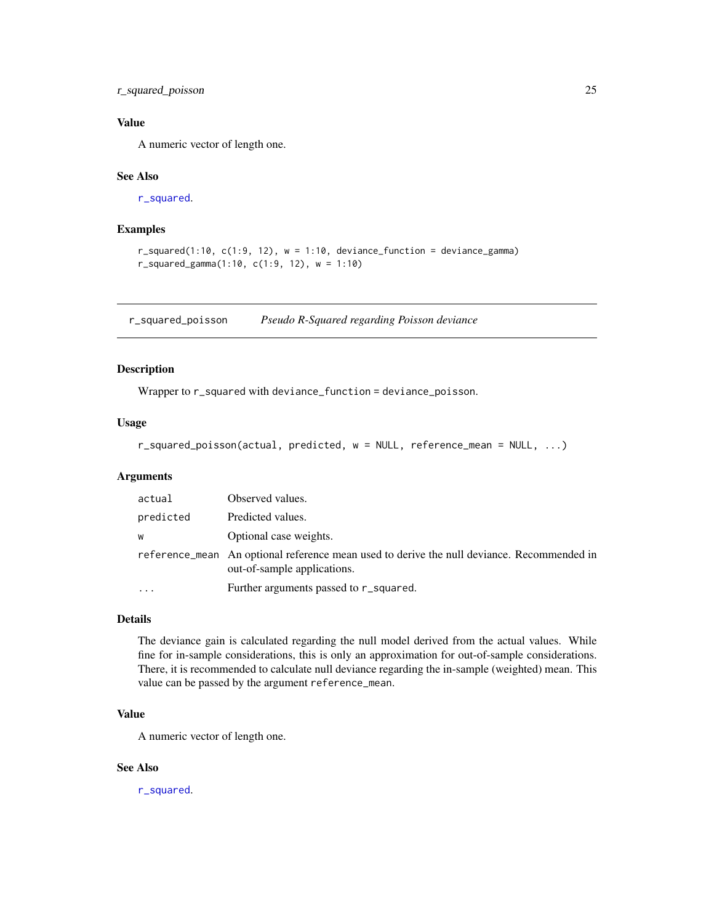# <span id="page-24-0"></span>r\_squared\_poisson 25

# Value

A numeric vector of length one.

# See Also

[r\\_squared](#page-21-1).

# Examples

```
r_squared(1:10, c(1:9, 12), w = 1:10, deviance_function = deviance_gamma)
r_squared_gamma(1:10, c(1:9, 12), w = 1:10)
```
r\_squared\_poisson *Pseudo R-Squared regarding Poisson deviance*

#### Description

Wrapper to r\_squared with deviance\_function = deviance\_poisson.

# Usage

r\_squared\_poisson(actual, predicted, w = NULL, reference\_mean = NULL, ...)

# Arguments

| actual    | Observed values.                                                                                                          |
|-----------|---------------------------------------------------------------------------------------------------------------------------|
| predicted | Predicted values.                                                                                                         |
| W         | Optional case weights.                                                                                                    |
|           | reference_mean An optional reference mean used to derive the null deviance. Recommended in<br>out-of-sample applications. |
|           | Further arguments passed to r_squared.                                                                                    |

#### Details

The deviance gain is calculated regarding the null model derived from the actual values. While fine for in-sample considerations, this is only an approximation for out-of-sample considerations. There, it is recommended to calculate null deviance regarding the in-sample (weighted) mean. This value can be passed by the argument reference\_mean.

#### Value

A numeric vector of length one.

# See Also

[r\\_squared](#page-21-1).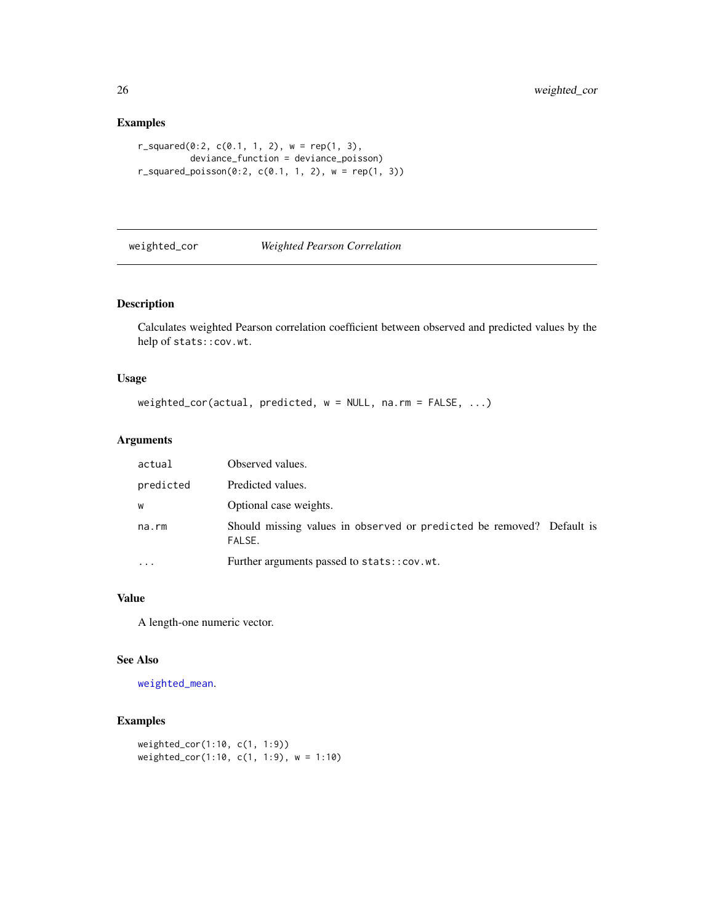# Examples

```
r_squared(0:2, c(0.1, 1, 2), w = rep(1, 3),
         deviance_function = deviance_poisson)
r_squared_poisson(0:2, c(0.1, 1, 2), w = rep(1, 3))
```
# weighted\_cor *Weighted Pearson Correlation*

# Description

Calculates weighted Pearson correlation coefficient between observed and predicted values by the help of stats::cov.wt.

# Usage

```
weighted_cor(actual, predicted, w = NULL, na.rm = FALSE, ...)
```
# Arguments

| actual    | Observed values.                                                                |
|-----------|---------------------------------------------------------------------------------|
| predicted | Predicted values.                                                               |
| W         | Optional case weights.                                                          |
| na.rm     | Should missing values in observed or predicted be removed? Default is<br>FALSE. |
| $\ddotsc$ | Further arguments passed to stats::cov.wt.                                      |

#### Value

A length-one numeric vector.

#### See Also

[weighted\\_mean](#page-26-1).

### Examples

```
weighted_cor(1:10, c(1, 1:9))
weighted_cor(1:10, c(1, 1:9), w = 1:10)
```
<span id="page-25-0"></span>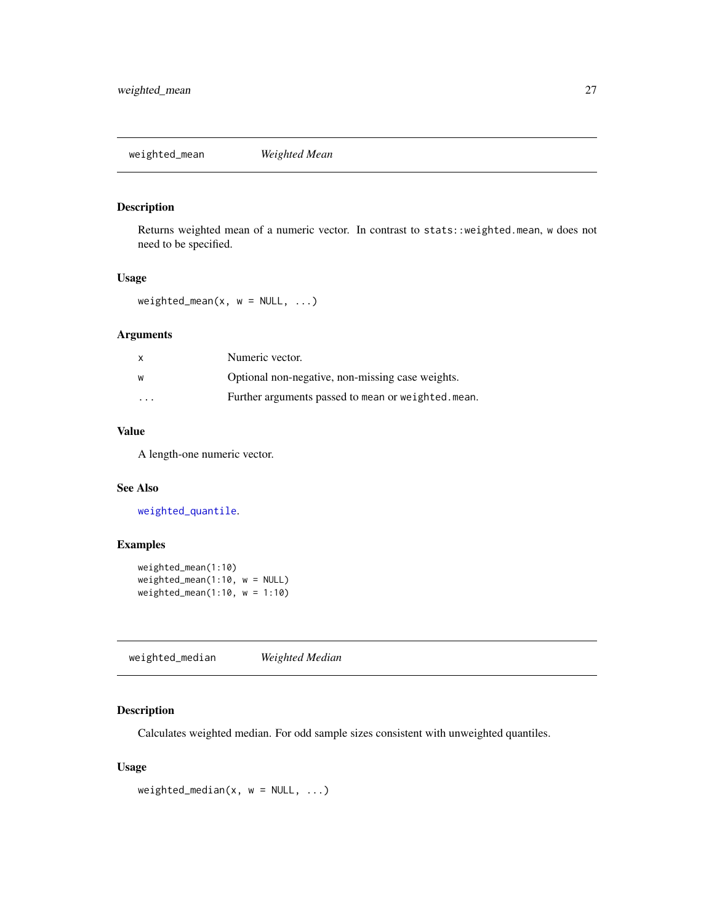<span id="page-26-1"></span><span id="page-26-0"></span>weighted\_mean *Weighted Mean*

#### Description

Returns weighted mean of a numeric vector. In contrast to stats::weighted.mean, w does not need to be specified.

#### Usage

weighted\_mean(x,  $w = NULL, ...$ )

#### Arguments

| x                       | Numeric vector.                                    |
|-------------------------|----------------------------------------------------|
| W                       | Optional non-negative, non-missing case weights.   |
| $\cdot$ $\cdot$ $\cdot$ | Further arguments passed to mean or weighted.mean. |

# Value

A length-one numeric vector.

# See Also

[weighted\\_quantile](#page-27-1).

# Examples

```
weighted_mean(1:10)
weighted_mean(1:10, w = NULL)
weighted_mean(1:10, w = 1:10)
```
<span id="page-26-2"></span>weighted\_median *Weighted Median*

# Description

Calculates weighted median. For odd sample sizes consistent with unweighted quantiles.

#### Usage

```
weighted_median(x, w = NULL, ...)
```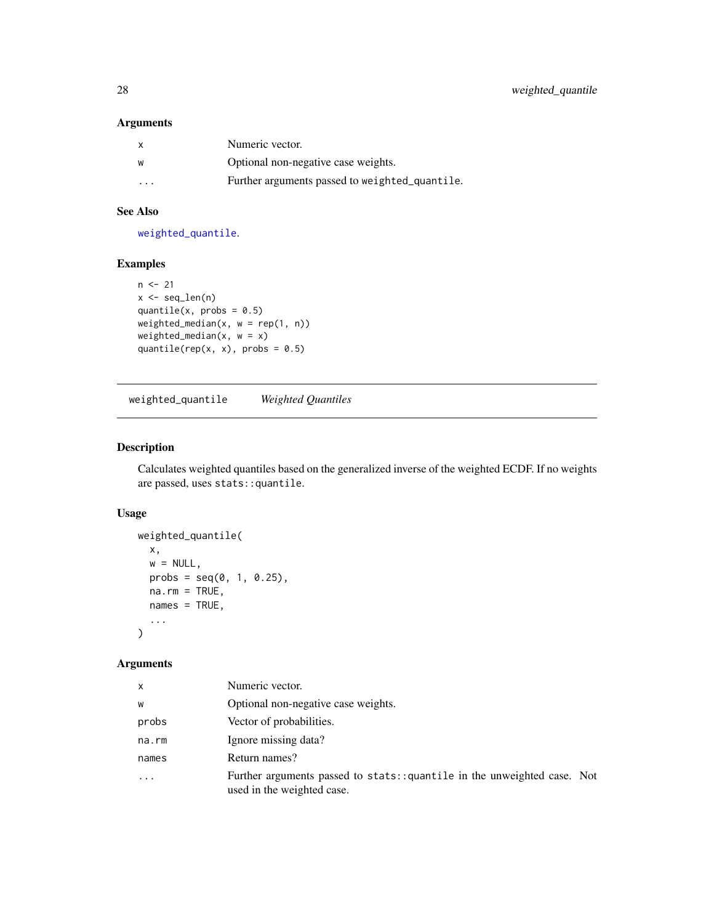#### <span id="page-27-0"></span>Arguments

|          | Numeric vector.                                |
|----------|------------------------------------------------|
| W        | Optional non-negative case weights.            |
| $\cdots$ | Further arguments passed to weighted_quantile. |

# See Also

[weighted\\_quantile](#page-27-1).

# Examples

```
n < -21x \leftarrow \text{seq\_len}(n)quantile(x, probs = 0.5)
weighted_median(x, w = rep(1, n))weighted_median(x, w = x)
quantile(rep(x, x), probs = 0.5)
```
<span id="page-27-1"></span>weighted\_quantile *Weighted Quantiles*

# Description

Calculates weighted quantiles based on the generalized inverse of the weighted ECDF. If no weights are passed, uses stats::quantile.

# Usage

```
weighted_quantile(
  x,
  w = NULL,probs = seq(0, 1, 0.25),
  na.rm = TRUE,names = TRUE,
  ...
\mathcal{L}
```
# Arguments

| X                       | Numeric vector.                                                                                         |
|-------------------------|---------------------------------------------------------------------------------------------------------|
| W                       | Optional non-negative case weights.                                                                     |
| probs                   | Vector of probabilities.                                                                                |
| na.rm                   | Ignore missing data?                                                                                    |
| names                   | Return names?                                                                                           |
| $\cdot$ $\cdot$ $\cdot$ | Further arguments passed to stats: : quantile in the unweighted case. Not<br>used in the weighted case. |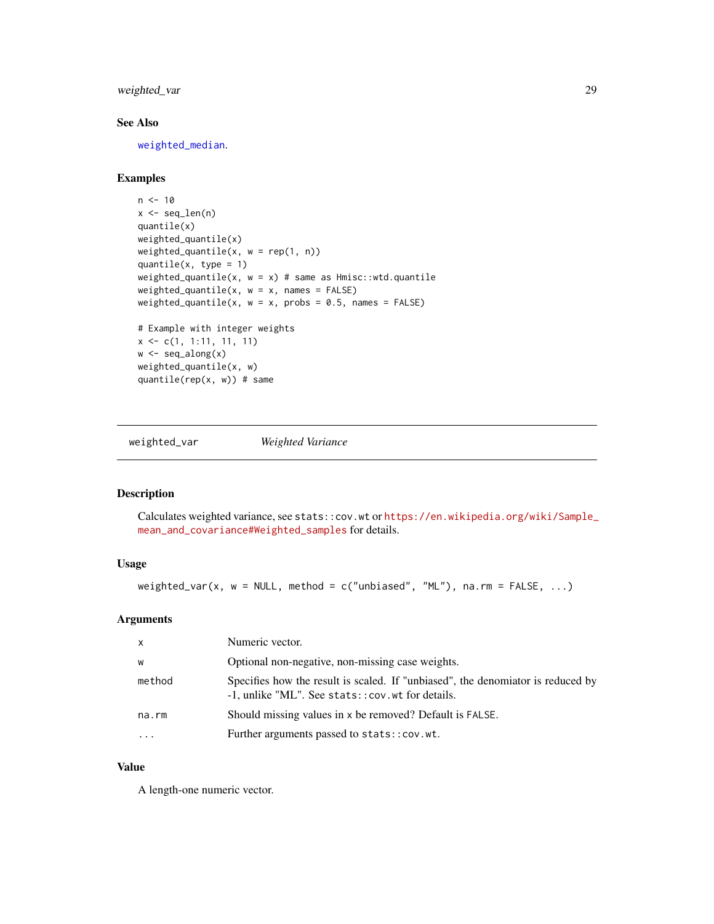# <span id="page-28-0"></span>weighted\_var 29

# See Also

[weighted\\_median](#page-26-2).

#### Examples

```
n < -10x \leftarrow \text{seq\_len}(n)quantile(x)
weighted_quantile(x)
weighted_quantile(x, w = rep(1, n))
quantile(x, type = 1)
weighted_quantile(x, w = x) # same as Hmisc::wtd.quantile
weighted_quantile(x, w = x, names = FALSE)
weighted_quantile(x, w = x, probs = 0.5, names = FALSE)
# Example with integer weights
x <- c(1, 1:11, 11, 11)
w \leftarrow \text{seq\_along}(x)weighted_quantile(x, w)
quantile(rep(x, w)) # same
```
weighted\_var *Weighted Variance*

# Description

Calculates weighted variance, see stats::cov.wt or [https://en.wikipedia.org/wiki/Sample\\_](https://en.wikipedia.org/wiki/Sample_mean_and_covariance#Weighted_samples) [mean\\_and\\_covariance#Weighted\\_samples](https://en.wikipedia.org/wiki/Sample_mean_and_covariance#Weighted_samples) for details.

# Usage

weighted\_var(x,  $w = NULL$ , method = c("unbiased", "ML"), na.rm = FALSE, ...)

#### Arguments

| $\mathsf{x}$ | Numeric vector.                                                                                                                      |
|--------------|--------------------------------------------------------------------------------------------------------------------------------------|
| W            | Optional non-negative, non-missing case weights.                                                                                     |
| method       | Specifies how the result is scaled. If "unbiased", the denomiator is reduced by<br>-1, unlike "ML". See stats:: cov. wt for details. |
| na.rm        | Should missing values in x be removed? Default is FALSE.                                                                             |
| .            | Further arguments passed to stats::cov.wt.                                                                                           |

#### Value

A length-one numeric vector.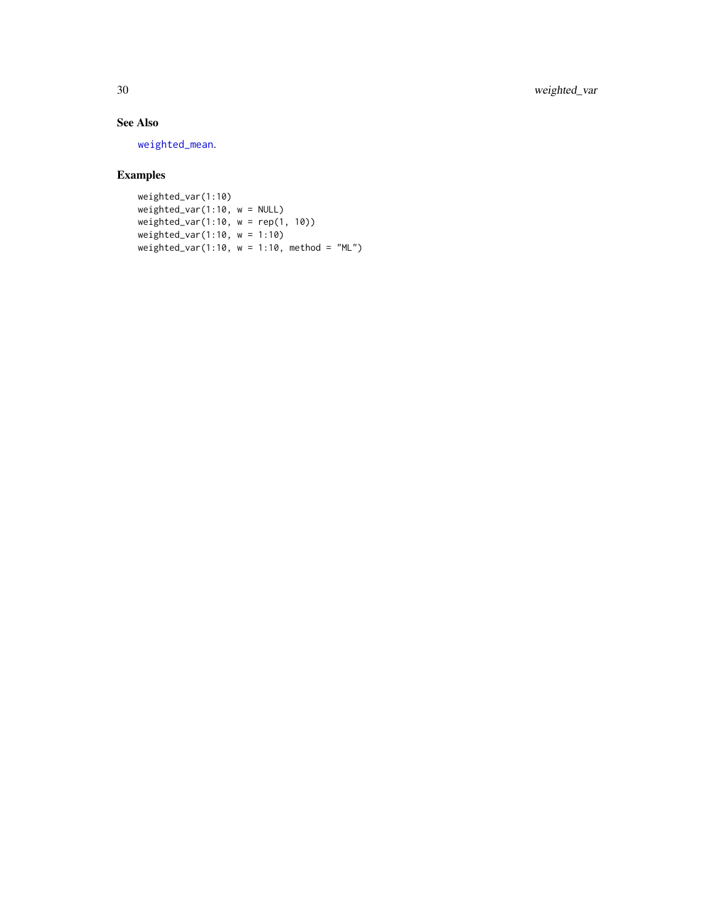<span id="page-29-0"></span>30 weighted\_var

# See Also

[weighted\\_mean](#page-26-1).

# Examples

weighted\_var(1:10)  $weighted\_var(1:10, w = NULL)$ weighted\_var(1:10, w = rep(1, 10)) weighted\_var(1:10, w = 1:10) weighted\_var(1:10,  $w = 1:10$ , method = "ML")